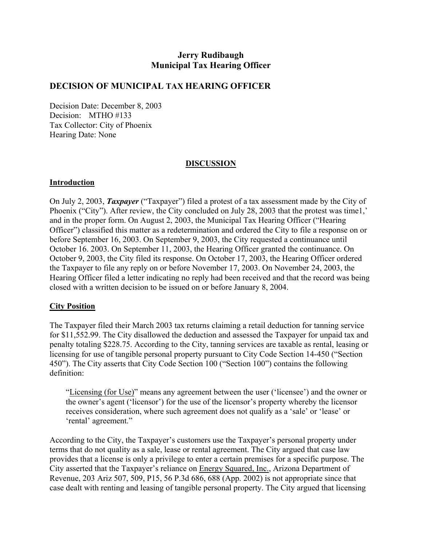## **Jerry Rudibaugh Municipal Tax Hearing Officer**

#### **DECISION OF MUNICIPAL TAX HEARING OFFICER**

Decision Date: December 8, 2003 Decision: MTHO #133 Tax Collector: City of Phoenix Hearing Date: None

#### **DISCUSSION**

#### **Introduction**

On July 2, 2003, *Taxpayer* ("Taxpayer") filed a protest of a tax assessment made by the City of Phoenix ("City"). After review, the City concluded on July 28, 2003 that the protest was time1,' and in the proper form. On August 2, 2003, the Municipal Tax Hearing Officer ("Hearing Officer") classified this matter as a redetermination and ordered the City to file a response on or before September 16, 2003. On September 9, 2003, the City requested a continuance until October 16. 2003. On September 11, 2003, the Hearing Officer granted the continuance. On October 9, 2003, the City filed its response. On October 17, 2003, the Hearing Officer ordered the Taxpayer to file any reply on or before November 17, 2003. On November 24, 2003, the Hearing Officer filed a letter indicating no reply had been received and that the record was being closed with a written decision to be issued on or before January 8, 2004.

#### **City Position**

The Taxpayer filed their March 2003 tax returns claiming a retail deduction for tanning service for \$11,552.99. The City disallowed the deduction and assessed the Taxpayer for unpaid tax and penalty totaling \$228.75. According to the City, tanning services are taxable as rental, leasing or licensing for use of tangible personal property pursuant to City Code Section 14-450 ("Section 450"). The City asserts that City Code Section 100 ("Section 100") contains the following definition:

"Licensing (for Use)" means any agreement between the user ('licensee') and the owner or the owner's agent ('licensor') for the use of the licensor's property whereby the licensor receives consideration, where such agreement does not qualify as a 'sale' or 'lease' or 'rental' agreement."

According to the City, the Taxpayer's customers use the Taxpayer's personal property under terms that do not quality as a sale, lease or rental agreement. The City argued that case law provides that a license is only a privilege to enter a certain premises for a specific purpose. The City asserted that the Taxpayer's reliance on Energy Squared, Inc., Arizona Department of Revenue, 203 Ariz 507, 509, P15, 56 P.3d 686, 688 (App. 2002) is not appropriate since that case dealt with renting and leasing of tangible personal property. The City argued that licensing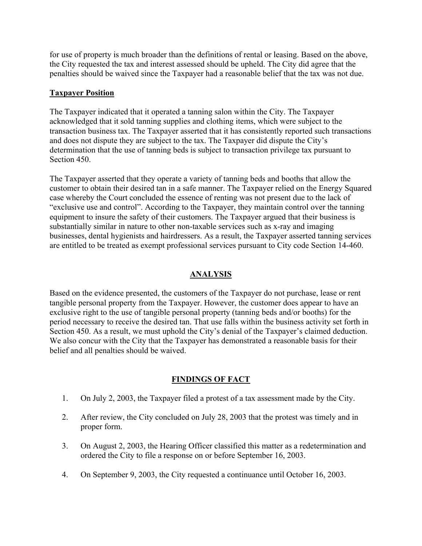for use of property is much broader than the definitions of rental or leasing. Based on the above, the City requested the tax and interest assessed should be upheld. The City did agree that the penalties should be waived since the Taxpayer had a reasonable belief that the tax was not due.

#### **Taxpayer Position**

The Taxpayer indicated that it operated a tanning salon within the City. The Taxpayer acknowledged that it sold tanning supplies and clothing items, which were subject to the transaction business tax. The Taxpayer asserted that it has consistently reported such transactions and does not dispute they are subject to the tax. The Taxpayer did dispute the City's determination that the use of tanning beds is subject to transaction privilege tax pursuant to Section 450.

The Taxpayer asserted that they operate a variety of tanning beds and booths that allow the customer to obtain their desired tan in a safe manner. The Taxpayer relied on the Energy Squared case whereby the Court concluded the essence of renting was not present due to the lack of "exclusive use and control". According to the Taxpayer, they maintain control over the tanning equipment to insure the safety of their customers. The Taxpayer argued that their business is substantially similar in nature to other non-taxable services such as x-ray and imaging businesses, dental hygienists and hairdressers. As a result, the Taxpayer asserted tanning services are entitled to be treated as exempt professional services pursuant to City code Section 14-460.

## **ANALYSIS**

Based on the evidence presented, the customers of the Taxpayer do not purchase, lease or rent tangible personal property from the Taxpayer. However, the customer does appear to have an exclusive right to the use of tangible personal property (tanning beds and/or booths) for the period necessary to receive the desired tan. That use falls within the business activity set forth in Section 450. As a result, we must uphold the City's denial of the Taxpayer's claimed deduction. We also concur with the City that the Taxpayer has demonstrated a reasonable basis for their belief and all penalties should be waived.

## **FINDINGS OF FACT**

- 1. On July 2, 2003, the Taxpayer filed a protest of a tax assessment made by the City.
- 2. After review, the City concluded on July 28, 2003 that the protest was timely and in proper form.
- 3. On August 2, 2003, the Hearing Officer classified this matter as a redetermination and ordered the City to file a response on or before September 16, 2003.
- 4. On September 9, 2003, the City requested a continuance until October 16, 2003.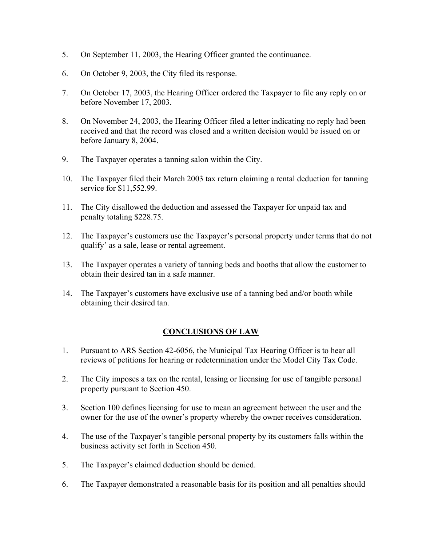- 5. On September 11, 2003, the Hearing Officer granted the continuance.
- 6. On October 9, 2003, the City filed its response.
- 7. On October 17, 2003, the Hearing Officer ordered the Taxpayer to file any reply on or before November 17, 2003.
- 8. On November 24, 2003, the Hearing Officer filed a letter indicating no reply had been received and that the record was closed and a written decision would be issued on or before January 8, 2004.
- 9. The Taxpayer operates a tanning salon within the City.
- 10. The Taxpayer filed their March 2003 tax return claiming a rental deduction for tanning service for \$11,552.99.
- 11. The City disallowed the deduction and assessed the Taxpayer for unpaid tax and penalty totaling \$228.75.
- 12. The Taxpayer's customers use the Taxpayer's personal property under terms that do not qualify' as a sale, lease or rental agreement.
- 13. The Taxpayer operates a variety of tanning beds and booths that allow the customer to obtain their desired tan in a safe manner.
- 14. The Taxpayer's customers have exclusive use of a tanning bed and/or booth while obtaining their desired tan.

## **CONCLUSIONS OF LAW**

- 1. Pursuant to ARS Section 42-6056, the Municipal Tax Hearing Officer is to hear all reviews of petitions for hearing or redetermination under the Model City Tax Code.
- 2. The City imposes a tax on the rental, leasing or licensing for use of tangible personal property pursuant to Section 450.
- 3. Section 100 defines licensing for use to mean an agreement between the user and the owner for the use of the owner's property whereby the owner receives consideration.
- 4. The use of the Taxpayer's tangible personal property by its customers falls within the business activity set forth in Section 450.
- 5. The Taxpayer's claimed deduction should be denied.
- 6. The Taxpayer demonstrated a reasonable basis for its position and all penalties should